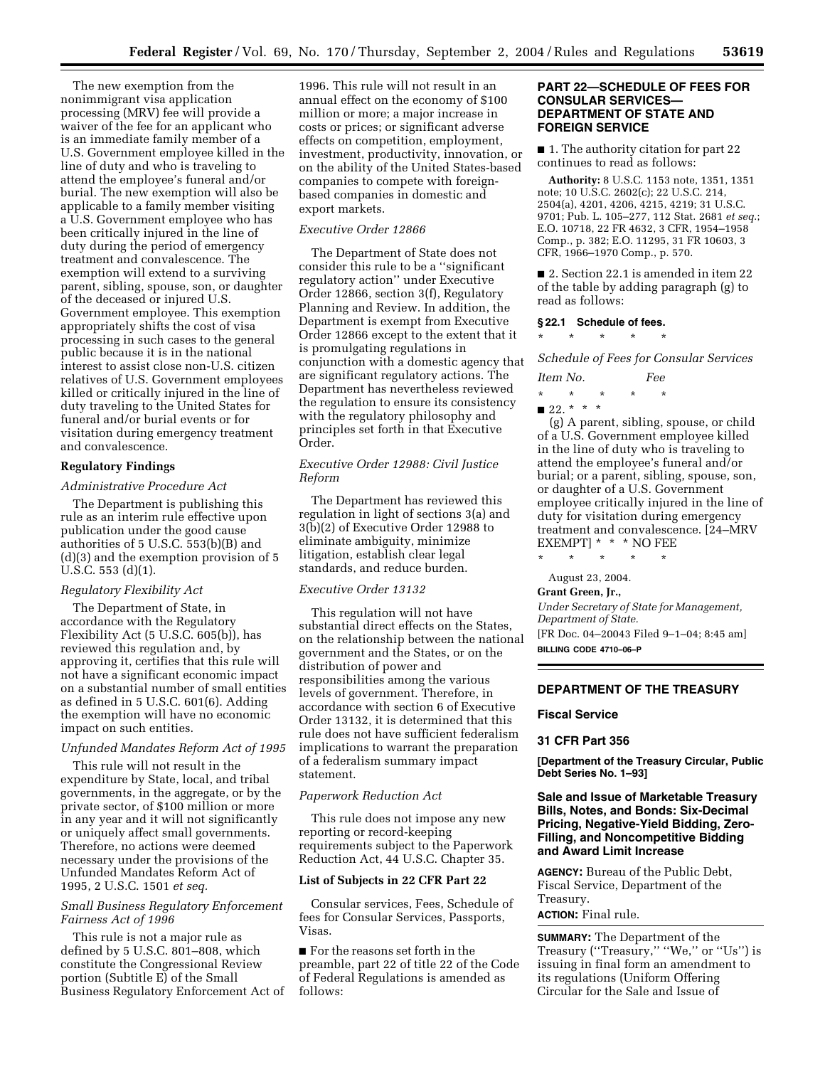The new exemption from the nonimmigrant visa application processing (MRV) fee will provide a waiver of the fee for an applicant who is an immediate family member of a U.S. Government employee killed in the line of duty and who is traveling to attend the employee's funeral and/or burial. The new exemption will also be applicable to a family member visiting a U.S. Government employee who has been critically injured in the line of duty during the period of emergency treatment and convalescence. The exemption will extend to a surviving parent, sibling, spouse, son, or daughter of the deceased or injured U.S. Government employee. This exemption appropriately shifts the cost of visa processing in such cases to the general public because it is in the national interest to assist close non-U.S. citizen relatives of U.S. Government employees killed or critically injured in the line of duty traveling to the United States for funeral and/or burial events or for visitation during emergency treatment and convalescence.

# **Regulatory Findings**

#### *Administrative Procedure Act*

The Department is publishing this rule as an interim rule effective upon publication under the good cause authorities of 5 U.S.C. 553(b)(B) and (d)(3) and the exemption provision of 5 U.S.C. 553 (d)(1).

#### *Regulatory Flexibility Act*

The Department of State, in accordance with the Regulatory Flexibility Act (5 U.S.C. 605(b)), has reviewed this regulation and, by approving it, certifies that this rule will not have a significant economic impact on a substantial number of small entities as defined in 5 U.S.C. 601(6). Adding the exemption will have no economic impact on such entities.

#### *Unfunded Mandates Reform Act of 1995*

This rule will not result in the expenditure by State, local, and tribal governments, in the aggregate, or by the private sector, of \$100 million or more in any year and it will not significantly or uniquely affect small governments. Therefore, no actions were deemed necessary under the provisions of the Unfunded Mandates Reform Act of 1995, 2 U.S.C. 1501 *et seq.*

### *Small Business Regulatory Enforcement Fairness Act of 1996*

This rule is not a major rule as defined by 5 U.S.C. 801–808, which constitute the Congressional Review portion (Subtitle E) of the Small Business Regulatory Enforcement Act of

1996. This rule will not result in an annual effect on the economy of \$100 million or more; a major increase in costs or prices; or significant adverse effects on competition, employment, investment, productivity, innovation, or on the ability of the United States-based companies to compete with foreignbased companies in domestic and export markets.

## *Executive Order 12866*

The Department of State does not consider this rule to be a ''significant regulatory action'' under Executive Order 12866, section 3(f), Regulatory Planning and Review. In addition, the Department is exempt from Executive Order 12866 except to the extent that it is promulgating regulations in conjunction with a domestic agency that are significant regulatory actions. The Department has nevertheless reviewed the regulation to ensure its consistency with the regulatory philosophy and principles set forth in that Executive Order.

# *Executive Order 12988: Civil Justice Reform*

The Department has reviewed this regulation in light of sections 3(a) and 3(b)(2) of Executive Order 12988 to eliminate ambiguity, minimize litigation, establish clear legal standards, and reduce burden.

#### *Executive Order 13132*

This regulation will not have substantial direct effects on the States, on the relationship between the national government and the States, or on the distribution of power and responsibilities among the various levels of government. Therefore, in accordance with section 6 of Executive Order 13132, it is determined that this rule does not have sufficient federalism implications to warrant the preparation of a federalism summary impact statement.

#### *Paperwork Reduction Act*

This rule does not impose any new reporting or record-keeping requirements subject to the Paperwork Reduction Act, 44 U.S.C. Chapter 35.

## **List of Subjects in 22 CFR Part 22**

Consular services, Fees, Schedule of fees for Consular Services, Passports, Visas.

■ For the reasons set forth in the preamble, part 22 of title 22 of the Code of Federal Regulations is amended as follows:

# **PART 22—SCHEDULE OF FEES FOR CONSULAR SERVICES— DEPARTMENT OF STATE AND FOREIGN SERVICE**

■ 1. The authority citation for part 22 continues to read as follows:

**Authority:** 8 U.S.C. 1153 note, 1351, 1351 note; 10 U.S.C. 2602(c); 22 U.S.C. 214, 2504(a), 4201, 4206, 4215, 4219; 31 U.S.C. 9701; Pub. L. 105–277, 112 Stat. 2681 *et seq.*; E.O. 10718, 22 FR 4632, 3 CFR, 1954–1958 Comp., p. 382; E.O. 11295, 31 FR 10603, 3 CFR, 1966–1970 Comp., p. 570.

■ 2. Section 22.1 is amended in item 22 of the table by adding paragraph (g) to read as follows:

#### **§ 22.1 Schedule of fees.**

 $\star$   $\star$   $\star$ 

*Schedule of Fees for Consular Services* 

- *Item No. Fee*
- \* \* \* \* \*  $\blacksquare$  22. \* \* \*

(g) A parent, sibling, spouse, or child of a U.S. Government employee killed in the line of duty who is traveling to attend the employee's funeral and/or burial; or a parent, sibling, spouse, son, or daughter of a U.S. Government employee critically injured in the line of duty for visitation during emergency treatment and convalescence. [24–MRV  $\begin{array}{ccc}\n\text{EXEMPT} & * & * & \text{NO FEE} \\
\text{*} & * & * & * & * \\
\end{array}$ 

\* \* \* \* \*

#### August 23, 2004.

**Grant Green, Jr.,**  *Under Secretary of State for Management, Department of State.*

[FR Doc. 04–20043 Filed 9–1–04; 8:45 am] **BILLING CODE 4710–06–P**

## **DEPARTMENT OF THE TREASURY**

# **Fiscal Service**

#### **31 CFR Part 356**

**[Department of the Treasury Circular, Public Debt Series No. 1–93]** 

## **Sale and Issue of Marketable Treasury Bills, Notes, and Bonds: Six-Decimal Pricing, Negative-Yield Bidding, Zero-Filling, and Noncompetitive Bidding and Award Limit Increase**

**AGENCY:** Bureau of the Public Debt, Fiscal Service, Department of the Treasury.

**ACTION:** Final rule.

**SUMMARY:** The Department of the Treasury ("Treasury," "We," or "Us") is issuing in final form an amendment to its regulations (Uniform Offering Circular for the Sale and Issue of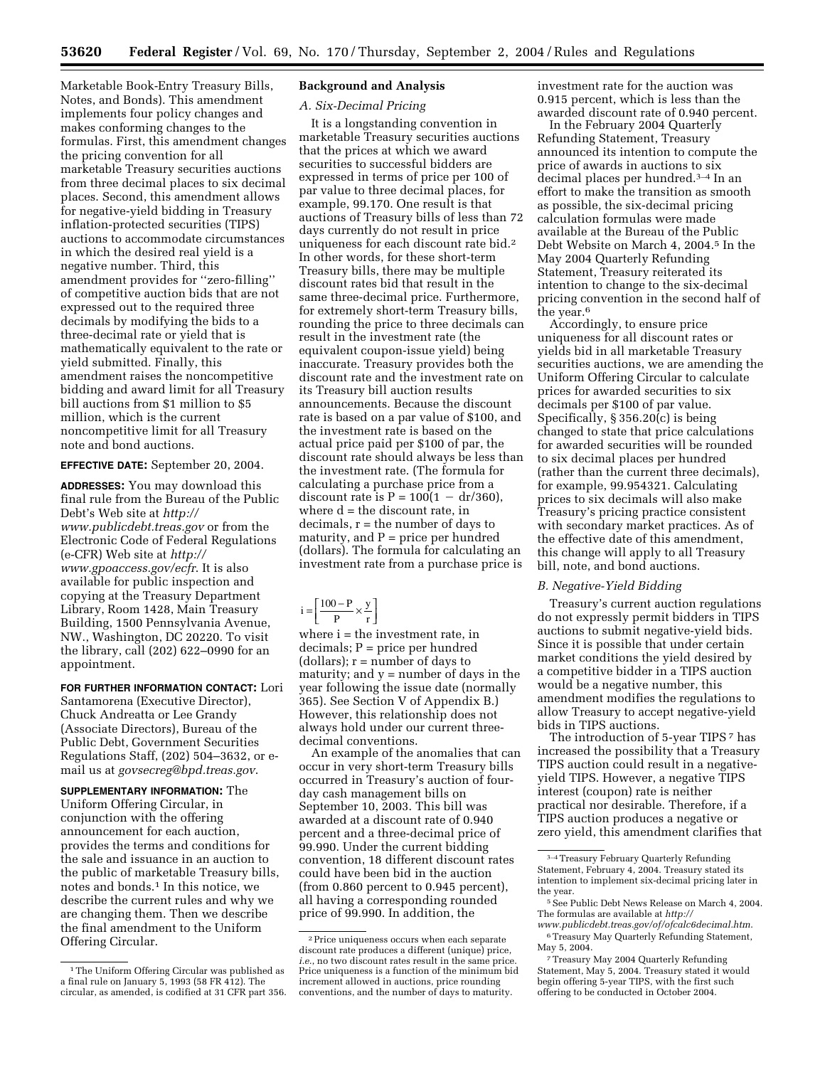Marketable Book-Entry Treasury Bills, Notes, and Bonds). This amendment implements four policy changes and makes conforming changes to the formulas. First, this amendment changes the pricing convention for all marketable Treasury securities auctions from three decimal places to six decimal places. Second, this amendment allows for negative-yield bidding in Treasury inflation-protected securities (TIPS) auctions to accommodate circumstances in which the desired real yield is a negative number. Third, this amendment provides for ''zero-filling'' of competitive auction bids that are not expressed out to the required three decimals by modifying the bids to a three-decimal rate or yield that is mathematically equivalent to the rate or yield submitted. Finally, this amendment raises the noncompetitive bidding and award limit for all Treasury bill auctions from \$1 million to \$5 million, which is the current noncompetitive limit for all Treasury note and bond auctions.

**EFFECTIVE DATE:** September 20, 2004.

**ADDRESSES:** You may download this final rule from the Bureau of the Public Debt's Web site at *http:// [www.publicdebt.treas.gov](http://www.publicdebt.treas.gov)* or from the Electronic Code of Federal Regulations (e-CFR) Web site at *http:// [www.gpoaccess.gov/ecfr](http://www.gpoaccess.gov/ecfr)*. It is also available for public inspection and copying at the Treasury Department Library, Room 1428, Main Treasury Building, 1500 Pennsylvania Avenue, NW., Washington, DC 20220. To visit the library, call (202) 622–0990 for an appointment.

**FOR FURTHER INFORMATION CONTACT:** Lori Santamorena (Executive Director), Chuck Andreatta or Lee Grandy (Associate Directors), Bureau of the Public Debt, Government Securities Regulations Staff, (202) 504–3632, or email us at *[govsecreg@bpd.treas.gov](mailto:govsecreg@bpd.treas.gov)*.

**SUPPLEMENTARY INFORMATION:** The Uniform Offering Circular, in conjunction with the offering announcement for each auction, provides the terms and conditions for the sale and issuance in an auction to the public of marketable Treasury bills, notes and bonds.1 In this notice, we describe the current rules and why we are changing them. Then we describe the final amendment to the Uniform Offering Circular.

# **Background and Analysis**

### *A. Six-Decimal Pricing*

It is a longstanding convention in marketable Treasury securities auctions that the prices at which we award securities to successful bidders are expressed in terms of price per 100 of par value to three decimal places, for example, 99.170. One result is that auctions of Treasury bills of less than 72 days currently do not result in price uniqueness for each discount rate bid.2 In other words, for these short-term Treasury bills, there may be multiple discount rates bid that result in the same three-decimal price. Furthermore, for extremely short-term Treasury bills, rounding the price to three decimals can result in the investment rate (the equivalent coupon-issue yield) being inaccurate. Treasury provides both the discount rate and the investment rate on its Treasury bill auction results announcements. Because the discount rate is based on a par value of \$100, and the investment rate is based on the actual price paid per \$100 of par, the discount rate should always be less than the investment rate. (The formula for calculating a purchase price from a discount rate is  $P = 100(1 - dr/360)$ , where  $d =$  the discount rate, in  $decimals, r = the number of days to$ maturity, and  $P =$  price per hundred (dollars). The formula for calculating an investment rate from a purchase price is

where  $i =$  the investment rate, in decimals; P = price per hundred (dollars);  $r =$  number of days to maturity; and  $y =$  number of days in the year following the issue date (normally 365). See Section V of Appendix B.) However, this relationship does not always hold under our current threedecimal conventions.

An example of the anomalies that can occur in very short-term Treasury bills occurred in Treasury's auction of fourday cash management bills on September 10, 2003. This bill was awarded at a discount rate of 0.940 percent and a three-decimal price of 99.990. Under the current bidding convention, 18 different discount rates could have been bid in the auction (from 0.860 percent to 0.945 percent), all having a corresponding rounded price of 99.990. In addition, the

investment rate for the auction was 0.915 percent, which is less than the awarded discount rate of 0.940 percent.

In the February 2004 Quarterly Refunding Statement, Treasury announced its intention to compute the price of awards in auctions to six decimal places per hundred.3–4 In an effort to make the transition as smooth as possible, the six-decimal pricing calculation formulas were made available at the Bureau of the Public Debt Website on March 4, 2004.<sup>5</sup> In the May 2004 Quarterly Refunding Statement, Treasury reiterated its intention to change to the six-decimal pricing convention in the second half of the year.<sup>6</sup>

Accordingly, to ensure price uniqueness for all discount rates or yields bid in all marketable Treasury securities auctions, we are amending the Uniform Offering Circular to calculate prices for awarded securities to six decimals per \$100 of par value. Specifically, § 356.20(c) is being changed to state that price calculations for awarded securities will be rounded to six decimal places per hundred (rather than the current three decimals), for example, 99.954321. Calculating prices to six decimals will also make Treasury's pricing practice consistent with secondary market practices. As of the effective date of this amendment, this change will apply to all Treasury bill, note, and bond auctions.

#### *B. Negative-Yield Bidding*

Treasury's current auction regulations do not expressly permit bidders in TIPS auctions to submit negative-yield bids. Since it is possible that under certain market conditions the yield desired by a competitive bidder in a TIPS auction would be a negative number, this amendment modifies the regulations to allow Treasury to accept negative-yield bids in TIPS auctions.

The introduction of 5-year TIPS 7 has increased the possibility that a Treasury TIPS auction could result in a negativeyield TIPS. However, a negative TIPS interest (coupon) rate is neither practical nor desirable. Therefore, if a TIPS auction produces a negative or zero yield, this amendment clarifies that

<sup>&</sup>lt;sup>1</sup>The Uniform Offering Circular was published as a final rule on January 5, 1993 (58 FR 412). The circular, as amended, is codified at 31 CFR part 356.

 $i = \left[\frac{100 - P}{P}\right]$  $=\left[\frac{100-P}{P} \times \frac{y}{r}\right]$ 

<sup>2</sup>Price uniqueness occurs when each separate discount rate produces a different (unique) price, *i.e.*, no two discount rates result in the same price. Price uniqueness is a function of the minimum bid increment allowed in auctions, price rounding conventions, and the number of days to maturity.

<sup>3–4</sup>Treasury February Quarterly Refunding Statement, February 4, 2004. Treasury stated its intention to implement six-decimal pricing later in the year.

<sup>5</sup>See Public Debt News Release on March 4, 2004. The formulas are available at *http://*

*[www.publicdebt.treas.gov/of/ofcalc6decimal.htm](http://www.publicdebt.treas.gov/of/ofcalc6decimal.htm)*. 6Treasury May Quarterly Refunding Statement, May 5, 2004.

<sup>7</sup>Treasury May 2004 Quarterly Refunding Statement, May 5, 2004. Treasury stated it would begin offering 5-year TIPS, with the first such offering to be conducted in October 2004.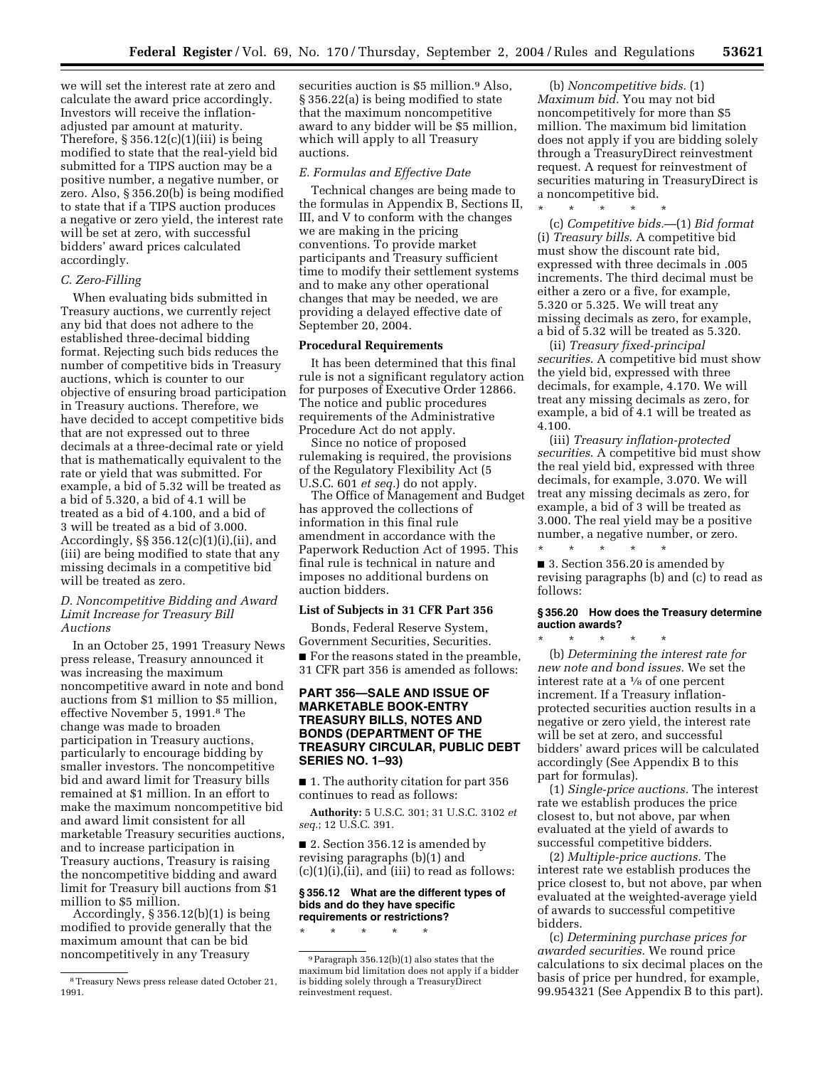we will set the interest rate at zero and calculate the award price accordingly. Investors will receive the inflationadjusted par amount at maturity. Therefore,  $\S 356.12(c)(1)(iii)$  is being modified to state that the real-yield bid submitted for a TIPS auction may be a positive number, a negative number, or zero. Also, § 356.20(b) is being modified to state that if a TIPS auction produces a negative or zero yield, the interest rate will be set at zero, with successful bidders' award prices calculated accordingly.

### *C. Zero-Filling*

When evaluating bids submitted in Treasury auctions, we currently reject any bid that does not adhere to the established three-decimal bidding format. Rejecting such bids reduces the number of competitive bids in Treasury auctions, which is counter to our objective of ensuring broad participation in Treasury auctions. Therefore, we have decided to accept competitive bids that are not expressed out to three decimals at a three-decimal rate or yield that is mathematically equivalent to the rate or yield that was submitted. For example, a bid of 5.32 will be treated as a bid of 5.320, a bid of 4.1 will be treated as a bid of 4.100, and a bid of 3 will be treated as a bid of 3.000. Accordingly, §§ 356.12(c)(1)(i),(ii), and (iii) are being modified to state that any missing decimals in a competitive bid will be treated as zero.

## *D. Noncompetitive Bidding and Award Limit Increase for Treasury Bill Auctions*

In an October 25, 1991 Treasury News press release, Treasury announced it was increasing the maximum noncompetitive award in note and bond auctions from \$1 million to \$5 million, effective November 5, 1991.8 The change was made to broaden participation in Treasury auctions, particularly to encourage bidding by smaller investors. The noncompetitive bid and award limit for Treasury bills remained at \$1 million. In an effort to make the maximum noncompetitive bid and award limit consistent for all marketable Treasury securities auctions, and to increase participation in Treasury auctions, Treasury is raising the noncompetitive bidding and award limit for Treasury bill auctions from \$1 million to \$5 million.

Accordingly,  $\S 356.12(b)(1)$  is being modified to provide generally that the maximum amount that can be bid noncompetitively in any Treasury

securities auction is \$5 million.<sup>9</sup> Also, § 356.22(a) is being modified to state that the maximum noncompetitive award to any bidder will be \$5 million, which will apply to all Treasury auctions.

#### *E. Formulas and Effective Date*

Technical changes are being made to the formulas in Appendix B, Sections II, III, and V to conform with the changes we are making in the pricing conventions. To provide market participants and Treasury sufficient time to modify their settlement systems and to make any other operational changes that may be needed, we are providing a delayed effective date of September 20, 2004.

### **Procedural Requirements**

It has been determined that this final rule is not a significant regulatory action for purposes of Executive Order 12866. The notice and public procedures requirements of the Administrative Procedure Act do not apply.

Since no notice of proposed rulemaking is required, the provisions of the Regulatory Flexibility Act (5 U.S.C. 601 *et seq.*) do not apply.

The Office of Management and Budget has approved the collections of information in this final rule amendment in accordance with the Paperwork Reduction Act of 1995. This final rule is technical in nature and imposes no additional burdens on auction bidders.

#### **List of Subjects in 31 CFR Part 356**

Bonds, Federal Reserve System, Government Securities, Securities. ■ For the reasons stated in the preamble, 31 CFR part 356 is amended as follows:

## **PART 356—SALE AND ISSUE OF MARKETABLE BOOK-ENTRY TREASURY BILLS, NOTES AND BONDS (DEPARTMENT OF THE TREASURY CIRCULAR, PUBLIC DEBT SERIES NO. 1–93)**

■ 1. The authority citation for part 356 continues to read as follows:

**Authority:** 5 U.S.C. 301; 31 U.S.C. 3102 *et seq.*; 12 U.S.C. 391.

■ 2. Section 356.12 is amended by revising paragraphs (b)(1) and  $(c)(1)(i),$   $(ii),$  and  $(iii)$  to read as follows:

#### **§ 356.12 What are the different types of bids and do they have specific requirements or restrictions?**

\* \* \* \* \*

(b) *Noncompetitive bids.* (1) *Maximum bid.* You may not bid noncompetitively for more than \$5 million. The maximum bid limitation does not apply if you are bidding solely through a TreasuryDirect reinvestment request. A request for reinvestment of securities maturing in TreasuryDirect is a noncompetitive bid.

\* \* \* \* \*

(c) *Competitive bids.*—(1) *Bid format* (i) *Treasury bills*. A competitive bid must show the discount rate bid, expressed with three decimals in .005 increments. The third decimal must be either a zero or a five, for example, 5.320 or 5.325. We will treat any missing decimals as zero, for example, a bid of 5.32 will be treated as 5.320.

(ii) *Treasury fixed-principal securities*. A competitive bid must show the yield bid, expressed with three decimals, for example, 4.170. We will treat any missing decimals as zero, for example, a bid of 4.1 will be treated as 4.100.

(iii) *Treasury inflation-protected securities*. A competitive bid must show the real yield bid, expressed with three decimals, for example, 3.070. We will treat any missing decimals as zero, for example, a bid of 3 will be treated as 3.000. The real yield may be a positive number, a negative number, or zero. \* \* \* \* \*

■ 3. Section 356.20 is amended by revising paragraphs (b) and (c) to read as follows:

#### **§ 356.20 How does the Treasury determine auction awards?**

\* \* \* \* \* (b) *Determining the interest rate for new note and bond issues.* We set the interest rate at a 1⁄8 of one percent increment. If a Treasury inflationprotected securities auction results in a negative or zero yield, the interest rate will be set at zero, and successful bidders' award prices will be calculated accordingly (See Appendix B to this part for formulas).

(1) *Single-price auctions.* The interest rate we establish produces the price closest to, but not above, par when evaluated at the yield of awards to successful competitive bidders.

(2) *Multiple-price auctions.* The interest rate we establish produces the price closest to, but not above, par when evaluated at the weighted-average yield of awards to successful competitive bidders.

(c) *Determining purchase prices for awarded securities.* We round price calculations to six decimal places on the basis of price per hundred, for example, 99.954321 (See Appendix B to this part).

<sup>8</sup>Treasury News press release dated October 21, 1991.

<sup>9</sup>Paragraph 356.12(b)(1) also states that the maximum bid limitation does not apply if a bidder is bidding solely through a TreasuryDirect reinvestment request.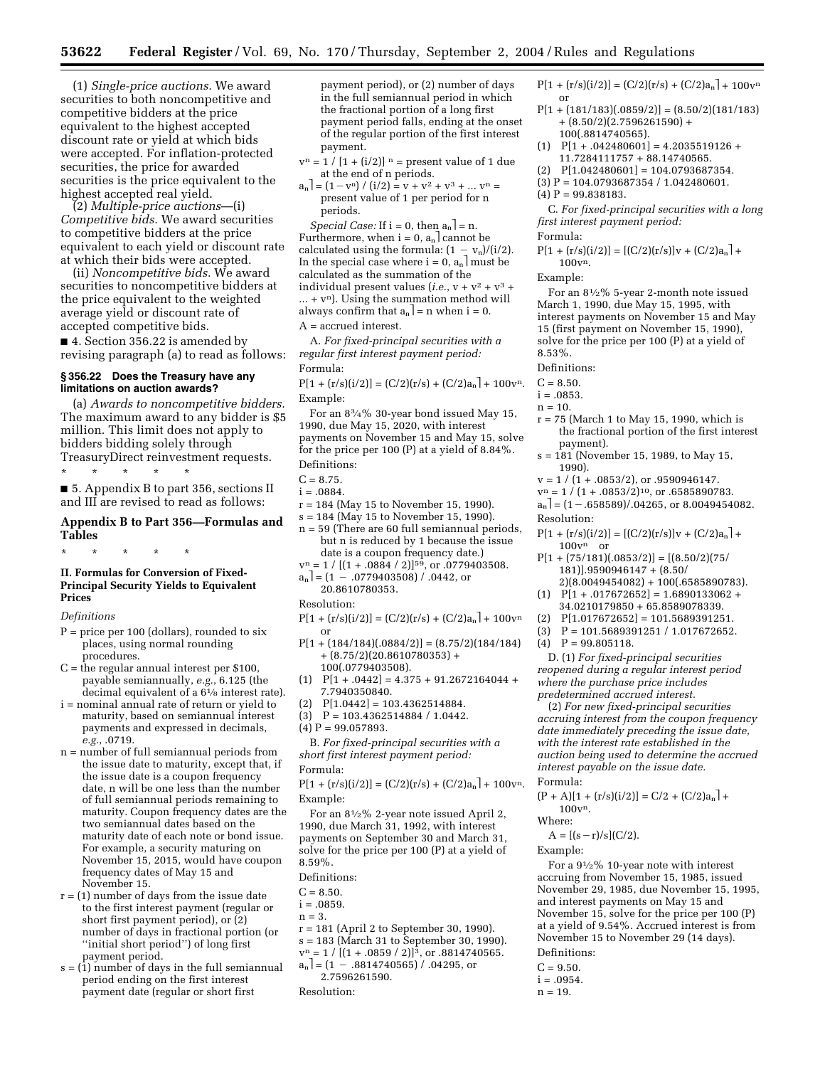(1) *Single-price auctions.* We award securities to both noncompetitive and competitive bidders at the price equivalent to the highest accepted discount rate or yield at which bids were accepted. For inflation-protected securities, the price for awarded securities is the price equivalent to the highest accepted real yield.

(2) *Multiple-price auctions*—(i) *Competitive bids.* We award securities to competitive bidders at the price equivalent to each yield or discount rate at which their bids were accepted.

(ii) *Noncompetitive bids.* We award securities to noncompetitive bidders at the price equivalent to the weighted average yield or discount rate of accepted competitive bids.

■ 4. Section 356.22 is amended by revising paragraph (a) to read as follows:

# **§ 356.22 Does the Treasury have any limitations on auction awards?**

(a) *Awards to noncompetitive bidders.* The maximum award to any bidder is \$5 million. This limit does not apply to bidders bidding solely through TreasuryDirect reinvestment requests.

\* \* \* \* \* ■ 5. Appendix B to part 356, sections II and III are revised to read as follows:

## **Appendix B to Part 356—Formulas and Tables**

\* \* \* \* \*

## **II. Formulas for Conversion of Fixed-Principal Security Yields to Equivalent Prices**

#### *Definitions*

- $P = price per 100 (dollars), rounded to six$ places, using normal rounding procedures.
- C = the regular annual interest per \$100, payable semiannually, *e.g.*, 6.125 (the decimal equivalent of a 61⁄8 interest rate).
- i = nominal annual rate of return or yield to maturity, based on semiannual interest payments and expressed in decimals, *e.g.*, .0719.
- n = number of full semiannual periods from the issue date to maturity, except that, if the issue date is a coupon frequency date, n will be one less than the number of full semiannual periods remaining to maturity. Coupon frequency dates are the two semiannual dates based on the maturity date of each note or bond issue. For example, a security maturing on November 15, 2015, would have coupon frequency dates of May 15 and November 15.
- $r = (1)$  number of days from the issue date to the first interest payment (regular or short first payment period), or (2) number of days in fractional portion (or ''initial short period'') of long first payment period.
- $s = (1)$  number of days in the full semiannual period ending on the first interest payment date (regular or short first

payment period), or (2) number of days in the full semiannual period in which the fractional portion of a long first payment period falls, ending at the onset of the regular portion of the first interest payment.

- $\mathbf{v}^\text{n} = 1$  /  $[1 + \text{(i/2)}]$   $^\text{n}$  = present value of 1 due at the end of n periods.
- $a_n$  | =  $(1 v^n) / (i/2) = v + v^2 + v^3 + ... v^n =$ present value of 1 per period for n periods.

*Special Case:* If  $i = 0$ , then  $a_n$  = n. Furthermore, when  $i = 0$ ,  $a_n$  cannot be calculated using the formula:  $(1 - v_n)/(i/2)$ . In the special case where  $i = 0$ ,  $a_n$  must be calculated as the summation of the individual present values (*i.e.*,  $v + v^2 + v^3 +$  $... + v<sup>n</sup>$ ). Using the summation method will always confirm that  $a_n$  = n when i = 0. A = accrued interest.

A. *For fixed-principal securities with a regular first interest payment period:* Formula:

# $P[1 + (r/s)(i/2)] = (C/2)(r/s) + (C/2)a_n + 100v^n$ .

Example:

For an 83⁄4% 30-year bond issued May 15, 1990, due May 15, 2020, with interest payments on November 15 and May 15, solve for the price per 100 (P) at a yield of 8.84%. Definitions:

- r = 184 (May 15 to November 15, 1990).
- s = 184 (May 15 to November 15, 1990).
- n = 59 (There are 60 full semiannual periods, but n is reduced by 1 because the issue date is a coupon frequency date.)
- $v^n = 1 / [(1 + .0884 / 2)]^{59}$ , or .0779403508.  $a_n$ ] = (1 – .0779403508) / .0442, or 20.8610780353.

Resolution:

- $P[1 + (r/s)(i/2)] = (C/2)(r/s) + (C/2)a_n + 100v^n$ or
- $P[1 + (184/184)(.0884/2)] = (8.75/2)(184/184)$ + (8.75/2)(20.8610780353) + 100(.0779403508).
- $[1]$   $P[1 + .0442] = 4.375 + 91.2672164044 +$ 7.7940350840.
- $P[1.0442] = 103.4362514884.$
- $P = 103.4362514884 / 1.0442$ .
- $(4)$  P = 99.057893.

B. *For fixed-principal securities with a short first interest payment period:* Formula:

```
P[1 + (r/s)(i/2)] = (C/2)(r/s) + (C/2)a_n + 100v^n.
Example:
```
For an 81⁄2% 2-year note issued April 2, 1990, due March 31, 1992, with interest payments on September 30 and March 31, solve for the price per 100 (P) at a yield of 8.59%.

- Definitions:
- $C = 8.50$ .
- $i = .0859$ .
- $n = 3$ .
- r = 181 (April 2 to September 30, 1990).
- s = 183 (March 31 to September 30, 1990).
- $v^n = 1 / [(1 + .0859 / 2)]^3$ , or .8814740565.<br>  $a_n] = (1 .8814740565) / .04295$ , or
- 2.7596261590.
- Resolution:
- $P[1 + (r/s)(i/2)] = (C/2)(r/s) + (C/2)a_n + 100v^n$ or
- $P[1 + (181/183)(.0859/2)] = (8.50/2)(181/183)$  $+$  (8.50/2)(2.7596261590) + 100(.8814740565).
- $[1]$   $P[1+.042480601] = 4.2035519126 +$ 11.7284111757 + 88.14740565.
- $[2]$   $P[1.042480601] = 104.0793687354.$
- (3)  $P = 104.0793687354 / 1.042480601$ .
- $(4)$  P = 99.838183.

C. *For fixed-principal securities with a long first interest payment period:*

- Formula:
- $P[1 + (r/s)(i/2)] = [(C/2)(r/s)]v + (C/2)a_n$  + 100vn.

#### Example:

For an 81⁄2% 5-year 2-month note issued March 1, 1990, due May 15, 1995, with interest payments on November 15 and May 15 (first payment on November 15, 1990), solve for the price per 100 (P) at a yield of 8.53%.

Definitions:

- $C = 8.50.$
- $i = .0853$ .
- $n = 10$ .
- $r = 75$  (March 1 to May 15, 1990, which is the fractional portion of the first interest payment).
- s = 181 (November 15, 1989, to May 15, 1990).
- $v = 1 / (1 + .0853/2),$  or .9590946147.
- $v<sup>n</sup> = 1 / (1 + .0853/2)<sup>10</sup>$ , or .6585890783.
- $a_n$  =  $(1-.658589)/.04265$ , or 8.0049454082. Resolution:

 $P[1 + (r/s)(i/2)] = [(C/2)(r/s)]v + (C/2)a_n$  +

- $100v<sup>n</sup>$  or  $P[1 + (75/181)(.0853/2)] = [(8.50/2)(75/181)]$ 181)].9590946147 + (8.50/
- 2)(8.0049454082) + 100(.6585890783).  $[1]$   $P[1+.017672652] = 1.6890133062 +$
- 34.0210179850 + 65.8589078339.
- $[2]$  P[1.017672652] = 101.5689391251.
- $P = 101.5689391251 / 1.017672652.$
- $P = 99.805118.$

D. (1) *For fixed-principal securities reopened during a regular interest period where the purchase price includes predetermined accrued interest.*

(2) *For new fixed-principal securities accruing interest from the coupon frequency date immediately preceding the issue date, with the interest rate established in the auction being used to determine the accrued interest payable on the issue date.* Formula:

 $(P + A)[1 + (r/s)(i/2)] = C/2 + (C/2)a_n$  $100v<sup>n</sup>$ .

# Where:

 $A = [(s - r)/s](C/2).$ 

Example:

For a 91⁄2% 10-year note with interest accruing from November 15, 1985, issued November 29, 1985, due November 15, 1995, and interest payments on May 15 and November 15, solve for the price per 100 (P) at a yield of 9.54%. Accrued interest is from November 15 to November 29 (14 days). Definitions:

- - $C = 9.50.$  $i = .0954$ .
	-
	- $n = 19$ .

 $C = 8.75.$ 

 $i = .0884$ .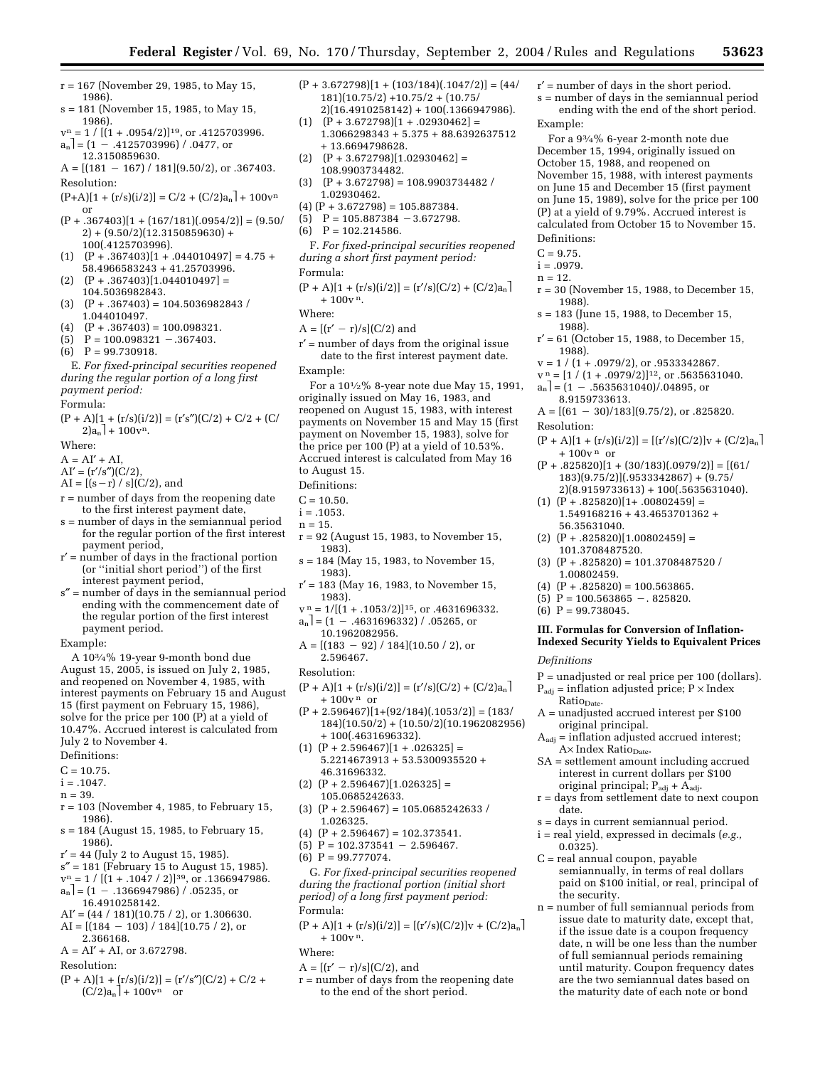- r = 167 (November 29, 1985, to May 15, 1986).
- s = 181 (November 15, 1985, to May 15, 1986).
- $v<sup>n</sup> = 1 / [(1 + .0954/2)]^{19}$ , or .4125703996.  $a_n$  = (1 - .4125703996) / .0477, or 12.3150859630.
- $A = [(181 167) / 181](9.50/2)$ , or .367403.

Resolution:

- $(P+A)[1 + (r/s)(i/2)] = C/2 + (C/2)a_n + 100v^n$ or
- $(P + .367403)[1 + (167/181)(.0954/2)] = (9.50/$  $2) + (9.50/2)(12.3150859630) +$ 100(.4125703996).
- $(1) \quad (P+.367403)[1+.044010497] = 4.75+$ 58.4966583243 + 41.25703996.
- $(P+.367403)[1.044010497] =$ 104.5036982843.
- $(P + .367403) = 104.5036982843$ 1.044010497.
- $(P + .367403) = 100.098321.$
- $P = 100.098321 .367403.$
- $P = 99.730918.$

## E. *For fixed-principal securities reopened during the regular portion of a long first payment period:*

Formula:

 $(P + A)[1 + (r/s)(i/2)] = (r's'')(C/2) + C/2 + (C/2)$  $2)a_n$  + 100 $v^n$ .

Where:

- $A = AI' + AI$ ,
- $AI' = (r'/s'')(C/2),$
- $AI = [(s r) / s] (C/2)$ , and
- r = number of days from the reopening date to the first interest payment date,
- s = number of days in the semiannual period for the regular portion of the first interest payment period,
- r′ = number of days in the fractional portion (or ''initial short period'') of the first interest payment period,
- s″ = number of days in the semiannual period ending with the commencement date of the regular portion of the first interest payment period.

Example:

A 103⁄4% 19-year 9-month bond due August 15, 2005, is issued on July 2, 1985, and reopened on November 4, 1985, with interest payments on February 15 and August 15 (first payment on February 15, 1986), solve for the price per 100 (P) at a yield of 10.47%. Accrued interest is calculated from July 2 to November 4.

- Definitions:
- $C = 10.75$ .
- $i = .1047.$
- $n = 39.$
- r = 103 (November 4, 1985, to February 15, 1986).
- s = 184 (August 15, 1985, to February 15, 1986).
- $r' = 44$  (July 2 to August 15, 1985).
- s″ = 181 (February 15 to August 15, 1985).
- $v^n = 1 / [(1 + .1047 / 2)]^{39}$ , or .1366947986.  $a_n$ ] = (1 – .1366947986) / .05235, or
- 16.4910258142.
- $AI' = (44 / 181)(10.75 / 2)$ , or 1.306630.
- $AI = [(184 103) / 184](10.75 / 2)$ , or
- 2.366168.  $A = AI' + AI$ , or 3.672798.
- 
- Resolution:
- $(P + A)[1 + (r/s)(i/2)] = (r's')(C/2) + C/2 +$  $(C/2)a_n$  + 100 $v^n$  or
- $(P + 3.672798)[1 + (103/184)(.1047/2)] = (44/$ 181)(10.75/2) +10.75/2 + (10.75/ 2)(16.4910258142) + 100(.1366947986).
- $(P + 3.672798)[1 + .02930462] =$ 1.3066298343 + 5.375 + 88.6392637512 + 13.6694798628.
- $(P + 3.672798)[1.02930462] =$ 108.9903734482.
- (3)  $(P + 3.672798) = 108.9903734482$ 1.02930462.
- $(4)$   $(P + 3.672798) = 105.887384.$
- $(5)$  P = 105.887384 3.672798.
- $P = 102.214586$ .
- F. *For fixed-principal securities reopened during a short first payment period:* Formula:
- $(P + A)[1 + (r/s)(i/2)] = (r'/s)(C/2) + (C/2)a_n$  $+100v<sup>n</sup>$ .
- Where:
- $A = [(r' r)/s](C/2)$  and
- r′ = number of days from the original issue date to the first interest payment date.
- Example:

For a  $10^{1/2}\%$  8-year note due May 15, 1991, originally issued on May 16, 1983, and reopened on August 15, 1983, with interest payments on November 15 and May 15 (first payment on November 15, 1983), solve for the price per 100 (P) at a yield of 10.53%. Accrued interest is calculated from May 16 to August 15.

- Definitions:
- $C = 10.50$ .
- $i = .1053$ .
- $n = 15$ .
- r = 92 (August 15, 1983, to November 15,
- 1983). s = 184 (May 15, 1983, to November 15,
- 1983). r′ = 183 (May 16, 1983, to November 15,
- 1983).  $v_{-}^{n} = 1/[(1 + .1053/2)]^{15}$ , or .4631696332.
- $a_n$  = (1 .4631696332) / .05265, or 10.1962082956.
- $A = [(183 92) / 184](10.50 / 2)$ , or 2.596467.
- Resolution:
- $(P + A)[1 + (r/s)(i/2)] = (r/s)(C/2) + (C/2)a_n$  $+100v<sup>n</sup>$  or
- $(P + 2.596467)[1+(92/184)(.1053/2)] = (183/$ 184)(10.50/2) + (10.50/2)(10.1962082956) + 100(.4631696332).
- $(1)$   $(P + 2.596467)[1 + .026325] =$ 5.2214673913 + 53.5300935520 + 46.31696332.
- $(2)$   $(P + 2.596467)[1.026325] =$ 105.0685242633.
- $(3)$   $(P + 2.596467) = 105.0685242633$ 1.026325.
- $(4)$   $(P + 2.596467) = 102.373541.$
- (5)  $P = 102.373541 2.596467$ .
- $(6)$  P = 99.777074.

G. *For fixed-principal securities reopened during the fractional portion (initial short period) of a long first payment period:* Formula:

- $(P + A)[1 + (r/s)(i/2)] = [(r/s)(C/2)]v + (C/2)a_n$  $+100v^{n}$ .
- Where:
- $A = [(r' r)/s](C/2)$ , and
- r = number of days from the reopening date to the end of the short period.
- r′ = number of days in the short period. s = number of days in the semiannual period
- ending with the end of the short period. Example:

For a 93⁄4% 6-year 2-month note due December 15, 1994, originally issued on October 15, 1988, and reopened on November 15, 1988, with interest payments on June 15 and December 15 (first payment on June 15, 1989), solve for the price per 100 (P) at a yield of 9.79%. Accrued interest is calculated from October 15 to November 15. Definitions:

 $C = 9.75$ .

 $i = .0979$ .

 $n = 12.$ 

- 
- r = 30 (November 15, 1988, to December 15, 1988).
- s = 183 (June 15, 1988, to December 15, 1988).
- r′ = 61 (October 15, 1988, to December 15, 1988).
- $v = 1 / (1 + .0979/2),$  or  $.9533342867$ .
- $v_{\perp}^{\rm n} = [1 / (1 + .0979/2)]^{12}$ , or  $.5635631040$ .  $a_n$  = (1 – .5635631040)/.04895, or
- 8.9159733613.
- $A = [(61 30)/183](9.75/2)$ , or .825820. Resolution:
- $(P + A)[1 + (r/s)(i/2)] = [(r/s)(C/2)]v + (C/2)a_n$  $+100v<sup>n</sup>$  or
- $(P+.825820)[1+(30/183)(.0979/2)] = [(61/$ 183)(9.75/2)](.9533342867) + (9.75/ 2)(8.9159733613) + 100(.5635631040).
- $(1)$   $(P+.825820)[1+.00802459] =$ 1.549168216 + 43.4653701362 + 56.35631040.
- $(2)$   $(P + .825820)[1.00802459] =$ 101.3708487520.

(4)  $(P+.825820) = 100.563865$ . (5)  $P = 100.563865 - 0.825820.$ 

 $(6)$  P = 99.738045.

Ratio<sub>Date</sub>.

date.

0.0325).

the security.

original principal.

A× Index Ratio<sub>Date</sub>.

*Definitions* 

 $(3)$   $(P + .825820) = 101.3708487520$ 1.00802459.

**III. Formulas for Conversion of Inflation-Indexed Security Yields to Equivalent Prices** 

P = unadjusted or real price per 100 (dollars).  $P_{\text{adj}} = \text{inflation adjusted price}$ ;  $P \times \text{Index}$ 

A = unadjusted accrued interest per \$100

 $A_{\text{adj}} = \inf \{$  adjusted accrued interest:

SA = settlement amount including accrued interest in current dollars per \$100 original principal;  $P_{\text{adj}} + \hat{A}_{\text{adj}}$ . r = days from settlement date to next coupon

s = days in current semiannual period. i = real yield, expressed in decimals (*e.g.,*

> semiannually, in terms of real dollars paid on \$100 initial, or real, principal of

n = number of full semiannual periods from issue date to maturity date, except that, if the issue date is a coupon frequency date, n will be one less than the number of full semiannual periods remaining until maturity. Coupon frequency dates are the two semiannual dates based on the maturity date of each note or bond

C = real annual coupon, payable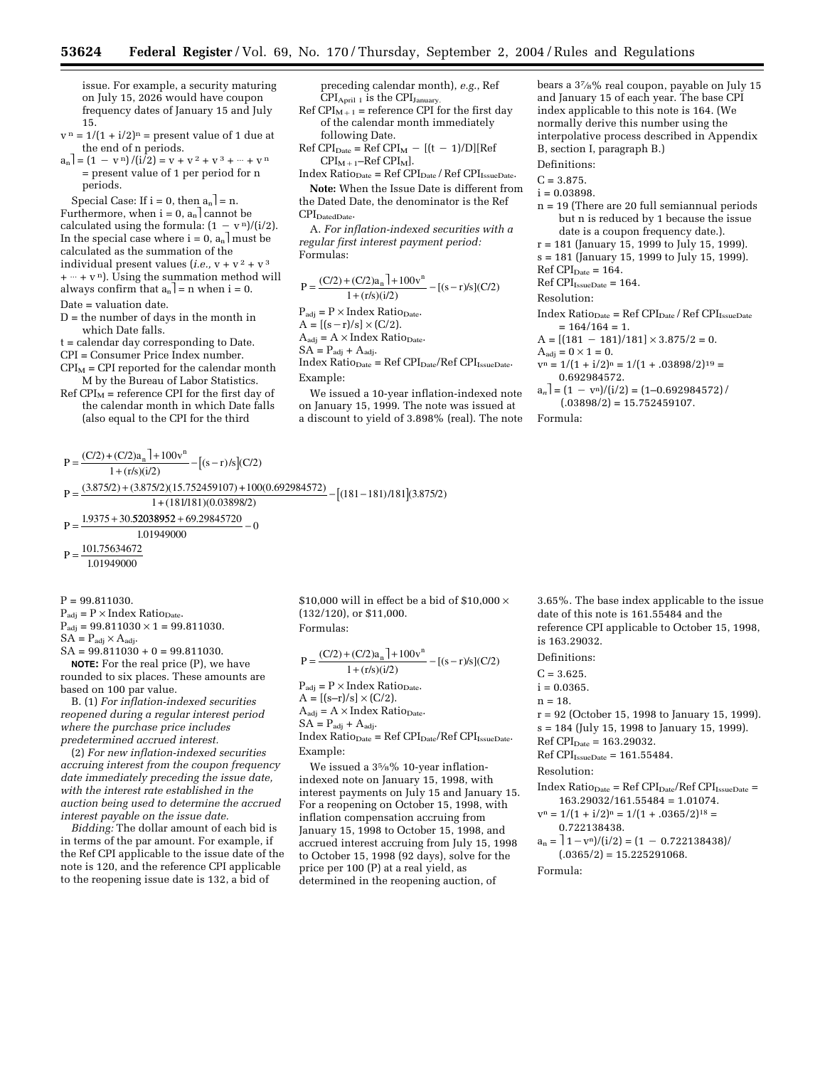issue. For example, a security maturing on July 15, 2026 would have coupon frequency dates of January 15 and July 15.

- $v<sup>n</sup> = 1/(1 + i/2)<sup>n</sup>$  = present value of 1 due at the end of n periods.
- $a_n$  =  $(1 v^n)/(i/2) = v + v^2 + v^3 + \cdots + v^n$ = present value of 1 per period for n periods.

Special Case: If  $i = 0$ , then  $a_n$  = n. Furthermore, when  $i = 0$ ,  $a_n$  cannot be calculated using the formula:  $(1 - v^n)/(i/2)$ . In the special case where  $i = 0$ ,  $a_n$  must be calculated as the summation of the individual present values (*i.e.*,  $v + v^2 + v^3$ )  $+ \cdots + v^n$ ). Using the summation method will always confirm that  $a_n$ ] = n when i = 0. Date = valuation date.

- D = the number of days in the month in which Date falls.
- t = calendar day corresponding to Date.

CPI = Consumer Price Index number.

- $CPI<sub>M</sub>$  = CPI reported for the calendar month M by the Bureau of Labor Statistics.
- $Ref CPI<sub>M</sub>$  = reference CPI for the first day of the calendar month in which Date falls (also equal to the CPI for the third

preceding calendar month), *e.g.*, Ref  $CPI<sub>April 1</sub>$  is the  $CPI<sub>January</sub>$ 

Ref CPI<sub>M+1</sub> = reference CPI for the first day of the calendar month immediately following Date.

 $Ref CPI<sub>Date</sub> = Ref CPI<sub>M</sub> - [(t - 1)/D][Ref$  $CPI_{M+1}$ –Ref  $CPI_M$ ].

 $Index Ratio<sub>Date</sub> = Ref CPI<sub>Date</sub> / Ref CPI<sub>Is sueDate</sub>.$ 

**Note:** When the Issue Date is different from the Dated Date, the denominator is the Ref  $\text{CPI}_{\text{DatedDate}}$ .

A. *For inflation-indexed securities with a regular first interest payment period:* Formulas:

$$
P = \frac{(C/2) + (C/2)a_n + 100v^n}{1 + (r/s)(i/2)} - [(s-r)/s](C/2)
$$

 $P_{\text{adj}} = P \times \text{Index Ratio}_{\text{Date}}$ .  $\mathbf{A} = \left[ (\mathbf{s}-\mathbf{r})/\mathbf{s} \right] \times (\mathbf{C}/2).$ 

 $A_{\text{adj}} = A \times \text{Index Ratio}_{\text{Date}}$ .

 $SA = P_{\text{adj}} + A_{\text{adj}}.$ 

 $\label{eq:indexRatioDate} \text{Index Ratio}_{\text{Date}} = \text{Ref CPI}_{\text{Date}} / \text{Ref CPI}_{\text{IissueDate}}.$ Example:

We issued a 10-year inflation-indexed note on January 15, 1999. The note was issued at a discount to yield of 3.898% (real). The note bears a 37⁄8% real coupon, payable on July 15 and January 15 of each year. The base CPI index applicable to this note is 164. (We normally derive this number using the interpolative process described in Appendix B, section I, paragraph B.)

Definitions:

- $C = 3.875.$
- $i = 0.03898$ .
- n = 19 (There are 20 full semiannual periods but n is reduced by 1 because the issue date is a coupon frequency date.).
- r = 181 (January 15, 1999 to July 15, 1999).
- s = 181 (January 15, 1999 to July 15, 1999).

 $Ref CPI<sub>Date</sub> = 164.$ 

 $Ref CPI_{IssueDate} = 164.$ 

Resolution:

 $Index Ratio<sub>Date</sub> = Ref CPI<sub>Date</sub> / Ref CPI<sub>Is sueDate</sub>$  $= 164/164 = 1.$ 

 $A = \frac{181 - 181}{181} \times 3.875/2 = 0.$ 

 $A_{\text{adi}} = 0 \times 1 = 0.$ 

- $v^n = 1/(1 + i/2)^n = 1/(1 + .03898/2)^{19} =$ 0.692984572.
- $a_n$ ] =  $(1 v^n)/(i/2)$  =  $(1 0.692984572)$  $(.03898/2) = 15.752459107.$

Formula:

 $P = \frac{(C/2) + (C/2)a_n + 100v^n}{1 + (r/s)(i/2)} - [(s-r)/s](C/2)$  $P =$ P  $=\frac{(3.875/2)+(3.875/2)(15.752459107)+100(0.692984572)}{1+(181/2)(0.03898/2)}-[(181-181)/181](3.875/2)$  $=\frac{1.9375 + 30.52038952 + 69.29845720}{1.0101000} - 0$  $1 + (r/s)(i/2)$  $\frac{1}{1+(181/181)(0.03898/2)} - [(181-181)/181](3.875/2)$ 1 01949000 . 101.75634672

$$
P = \frac{101.75054072}{1.01949000}
$$

 $P = 99.811030.$ 

 $P_{\text{adj}} = P \times \text{Index Ratio}_{\text{Date}}.$  $P_{\text{adj}} = 99.811030 \times 1 = 99.811030.$ 

 $SA = P_{\text{adj}} \times A_{\text{adj}}.$ 

 $SA = 99.811030 + 0 = 99.811030.$ 

**NOTE:** For the real price (P), we have rounded to six places. These amounts are based on 100 par value.

B. (1) *For inflation-indexed securities reopened during a regular interest period where the purchase price includes predetermined accrued interest.*

(2) *For new inflation-indexed securities accruing interest from the coupon frequency date immediately preceding the issue date, with the interest rate established in the auction being used to determine the accrued interest payable on the issue date.*

*Bidding:* The dollar amount of each bid is in terms of the par amount. For example, if the Ref CPI applicable to the issue date of the note is 120, and the reference CPI applicable to the reopening issue date is 132, a bid of

\$10,000 will in effect be a bid of \$10,000  $\times$ (132/120), or \$11,000. Formulas:

$$
P = \frac{(C/2) + (C/2)a_n + 100v^n}{1 + (r/s)(i/2)} - [(s-r)/s](C/2)
$$
  
\n
$$
P_{\text{adj}} = P \times \text{Index Ratio}_{\text{Date}}.
$$
  
\n
$$
A = [(s-r)/s] \times (C/2).
$$
  
\n
$$
A_{\text{adj}} = A \times \text{Index Ratio}_{\text{Date}}.
$$
  
\n
$$
SA = P_{\text{adj}} + A_{\text{adj}}.
$$
  
\n
$$
\text{Index Ratio}_{\text{Date}} = \text{Ref CPI}_{\text{Date}}/\text{Ref CPI}_{\text{issueDate}}.
$$
  
\nExample:

We issued a 35⁄8% 10-year inflationindexed note on January 15, 1998, with interest payments on July 15 and January 15. For a reopening on October 15, 1998, with inflation compensation accruing from January 15, 1998 to October 15, 1998, and accrued interest accruing from July 15, 1998 to October 15, 1998 (92 days), solve for the price per 100 (P) at a real yield, as determined in the reopening auction, of

3.65%. The base index applicable to the issue date of this note is 161.55484 and the reference CPI applicable to October 15, 1998, is 163.29032.

Definitions:

- $C = 3.625.$
- $i = 0.0365$ .

 $n = 18$ 

- r = 92 (October 15, 1998 to January 15, 1999).
- s = 184 (July 15, 1998 to January 15, 1999).

 $Ref$  CPI<sub>Date</sub> = 163.29032.

 $\mbox{Ref CPI}_{\mbox{\tiny{IssueDate}}} = 161.55484.$ 

Resolution:

 $Index Ratio<sub>Date</sub> = Ref CPI<sub>Date</sub>/Ref CPI<sub>Is sueDate</sub> =$ 163.29032/161.55484 = 1.01074.

- $v<sup>n</sup> = 1/(1 + i/2)<sup>n</sup> = 1/(1 + .0365/2)<sup>18</sup> =$ 0.722138438.
- $a_n = \frac{1}{\pi} \frac{v_n}{i^2} = \frac{1 v_n}{22138438}$  $(.0365/2) = 15.225291068.$

Formula: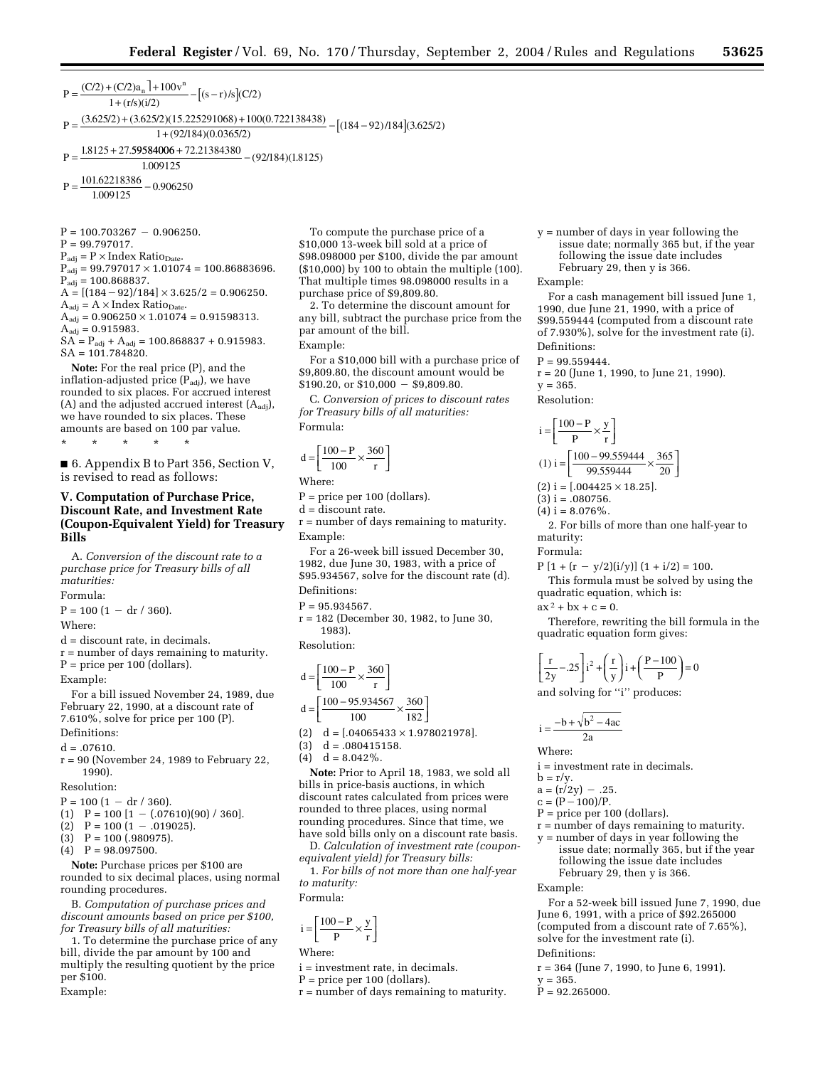$P = \frac{(C/2) + (C/2)a_n + 100v^n}{1 + (r/s)(i/2)} - [(s-r)/s](C/2)$ P  $=\frac{(3.625/2)+(3.625/2)(15.225291068)+100(0.722138438)}{1+(0.2194)(0.0265/2)} - [(184-92)/184](3.625/2)$  $1 + (r/s)(i/2)$  $\frac{(12)(15.225291068) + 100(0.722138438)}{1 + (92/184)(0.0365/2)} - [(184 - 92)/184](3.625/2)$ 

P  $=\frac{1.8125 + 27.59584006 + 72.21384380}{1.888435}$ 1 009125  $\frac{60,00001,22,2150,1500}{(92/184)(1.8125)}$ 

 $=\frac{101.62218386}{1000000}$  $P = \frac{101.02210566}{1.009125} - 0.$ 0 906250

 $P = 100.703267 - 0.906250.$ 

 $P = 99.797017.$ 

 $P_{\text{adj}} = P \times \text{Index Ratio}_{\text{Date}}$ .  $P_{\text{adj}} = 99.797017 \times 1.01074 = 100.86883696.$  $P_{\text{adj}} = 100.868837.$ 

 $A = [(184 – 92)/184] \times 3.625/2 = 0.906250.$  $A_{\text{adj}} = A \times \text{Index Ratio}_{\text{Date}}$ .

 $A_{\text{adj}} = 0.906250 \times 1.01074 = 0.91598313.$ 

 $A_{\text{adj}} = 0.915983.$  $SA = P_{\text{adj}} + A_{\text{adj}} = 100.868837 + 0.915983.$  $SA = 101.784820.$ 

**Note:** For the real price (P), and the inflation-adjusted price  $(P_{\text{adi}})$ , we have rounded to six places. For accrued interest (A) and the adjusted accrued interest  $(A_{\text{adj}})$ , we have rounded to six places. These amounts are based on 100 par value.

\* \* \* \* \*

■ 6. Appendix B to Part 356, Section V, is revised to read as follows:

## **V. Computation of Purchase Price, Discount Rate, and Investment Rate (Coupon-Equivalent Yield) for Treasury Bills**

A. *Conversion of the discount rate to a purchase price for Treasury bills of all maturities:* Formula:

 $P = 100 (1 - dr / 360).$ 

Where:

d = discount rate, in decimals.

r = number of days remaining to maturity.  $P =$  price per 100 (dollars).

Example:

For a bill issued November 24, 1989, due February 22, 1990, at a discount rate of 7.610%, solve for price per 100 (P). Definitions:

- $d = .07610$ .
- r = 90 (November 24, 1989 to February 22, 1990).

Resolution:

- $P = 100 (1 dr / 360).$
- (1)  $P = 100 [1 (.07610)(90) / 360].$
- (2)  $P = 100 (1 .019025)$ .<br>(3)  $P = 100 (.980975)$ .
- $P = 100$  (.980975).
- $P = 98.097500.$

**Note:** Purchase prices per \$100 are rounded to six decimal places, using normal rounding procedures.

B. *Computation of purchase prices and discount amounts based on price per \$100, for Treasury bills of all maturities:*

1. To determine the purchase price of any bill, divide the par amount by 100 and multiply the resulting quotient by the price per \$100. Example:

To compute the purchase price of a \$10,000 13-week bill sold at a price of \$98.098000 per \$100, divide the par amount (\$10,000) by 100 to obtain the multiple (100). That multiple times 98.098000 results in a purchase price of \$9,809.80.

2. To determine the discount amount for any bill, subtract the purchase price from the par amount of the bill.

Example:

For a \$10,000 bill with a purchase price of \$9,809.80, the discount amount would be  $$190.20$ , or  $$10,000 - $9,809.80$ .

C. *Conversion of prices to discount rates for Treasury bills of all maturities:* Formula:

$$
d = \left[\frac{100 - P}{100} \times \frac{360}{r}\right]
$$

Where:

P = price per 100 (dollars).

d = discount rate.

r = number of days remaining to maturity. Example:

For a 26-week bill issued December 30, 1982, due June 30, 1983, with a price of \$95.934567, solve for the discount rate (d).

Definitions:

 $P = 95.934567$ .

r = 182 (December 30, 1982, to June 30, 1983).

Resolution:

$$
d = \left[\frac{100 - P}{100} \times \frac{360}{r}\right]
$$

$$
d = \left[\frac{100 - 95.934567}{100} \times \frac{360}{182}\right]
$$

(2)  $d = [.04065433 \times 1.978021978]$ .

 $d = 0.080415158$ .

(4)  $d = 8.042\%$ .

**Note:** Prior to April 18, 1983, we sold all bills in price-basis auctions, in which discount rates calculated from prices were rounded to three places, using normal rounding procedures. Since that time, we have sold bills only on a discount rate basis.

D. *Calculation of investment rate (couponequivalent yield) for Treasury bills:*

1. *For bills of not more than one half-year to maturity:*

Formula:

$$
i = \!\!\left[\frac{100-P}{P} \!\times\! \frac{y}{r}\right]
$$

Where:

i = investment rate, in decimals.

P = price per 100 (dollars).

 $r = number of days remaining to maturity.$ 

y = number of days in year following the issue date; normally 365 but, if the year following the issue date includes February 29, then y is 366.

Example:

For a cash management bill issued June 1, 1990, due June 21, 1990, with a price of \$99.559444 (computed from a discount rate of 7.930%), solve for the investment rate (i). Definitions:

 $P = 99.559444.$ 

$$
r = 20
$$
 (June 1, 1990, to June 21, 1990).

$$
= 365.
$$

Resolution:

 $V$ 

$$
i = \left[\frac{100 - P}{P} \times \frac{y}{r}\right]
$$
  
(1) i =  $\left[\frac{100 - 99.559444}{99.559444} \times \frac{365}{20}\right]$ 

 $(2)$  i = [.004425  $\times$  18.25].

 $(3)$  i = .080756.  $(4)$  i = 8.076%.

2. For bills of more than one half-year to maturity:

Formula:

 $P [1 + (r - y/2)(i/y)] (1 + i/2) = 100.$ 

This formula must be solved by using the quadratic equation, which is:

 $ax^2 + bx + c = 0.$ 

Therefore, rewriting the bill formula in the quadratic equation form gives:

$$
\left[\frac{r}{2y} - .25\right]i^2 + \left(\frac{r}{y}\right)i + \left(\frac{P - 100}{P}\right) = 0
$$

and solving for "i" produces:

 $i = \frac{-b + \sqrt{b^2 - 4ac}}{2a}$ 

Where:

i = investment rate in decimals.

- $b = r/y$ .
- $a = (r/2v) .25$ .
- $c = (P 100)/P$ .
- P = price per 100 (dollars).
- r = number of days remaining to maturity.
- y = number of days in year following the issue date; normally 365, but if the year following the issue date includes February 29, then y is 366.

Example:

For a 52-week bill issued June 7, 1990, due June 6, 1991, with a price of \$92.265000 (computed from a discount rate of 7.65%), solve for the investment rate (i). Definitions:

r = 364 (June 7, 1990, to June 6, 1991).

 $v = 365.$ 

 $P = 92.265000$ .